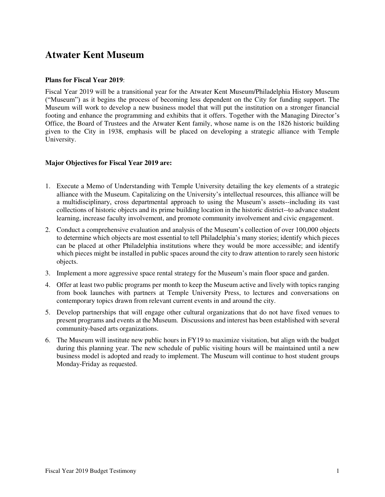# **Atwater Kent Museum**

## **Plans for Fiscal Year 2019**:

Fiscal Year 2019 will be a transitional year for the Atwater Kent Museum/Philadelphia History Museum ("Museum") as it begins the process of becoming less dependent on the City for funding support. The Museum will work to develop a new business model that will put the institution on a stronger financial footing and enhance the programming and exhibits that it offers. Together with the Managing Director's Office, the Board of Trustees and the Atwater Kent family, whose name is on the 1826 historic building given to the City in 1938, emphasis will be placed on developing a strategic alliance with Temple University.

## **Major Objectives for Fiscal Year 2019 are:**

- 1. Execute a Memo of Understanding with Temple University detailing the key elements of a strategic alliance with the Museum. Capitalizing on the University's intellectual resources, this alliance will be a multidisciplinary, cross departmental approach to using the Museum's assets--including its vast collections of historic objects and its prime building location in the historic district--to advance student learning, increase faculty involvement, and promote community involvement and civic engagement.
- 2. Conduct a comprehensive evaluation and analysis of the Museum's collection of over 100,000 objects to determine which objects are most essential to tell Philadelphia's many stories; identify which pieces can be placed at other Philadelphia institutions where they would be more accessible; and identify which pieces might be installed in public spaces around the city to draw attention to rarely seen historic objects.
- 3. Implement a more aggressive space rental strategy for the Museum's main floor space and garden.
- 4. Offer at least two public programs per month to keep the Museum active and lively with topics ranging from book launches with partners at Temple University Press, to lectures and conversations on contemporary topics drawn from relevant current events in and around the city.
- 5. Develop partnerships that will engage other cultural organizations that do not have fixed venues to present programs and events at the Museum. Discussions and interest has been established with several community-based arts organizations.
- 6. The Museum will institute new public hours in FY19 to maximize visitation, but align with the budget during this planning year. The new schedule of public visiting hours will be maintained until a new business model is adopted and ready to implement. The Museum will continue to host student groups Monday-Friday as requested.